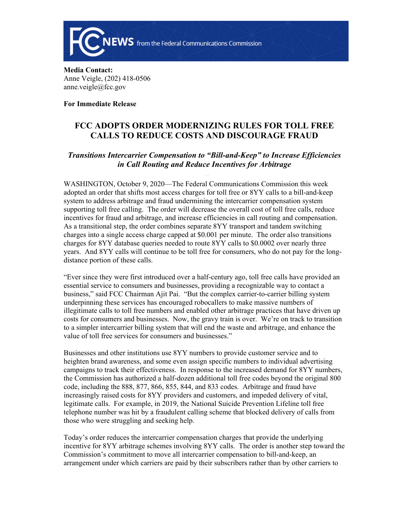

**Media Contact:**  Anne Veigle, (202) 418-0506 anne.veigle@fcc.gov

**For Immediate Release**

## **FCC ADOPTS ORDER MODERNIZING RULES FOR TOLL FREE CALLS TO REDUCE COSTS AND DISCOURAGE FRAUD**

## *Transitions Intercarrier Compensation to "Bill-and-Keep" to Increase Efficiencies in Call Routing and Reduce Incentives for Arbitrage*

WASHINGTON, October 9, 2020—The Federal Communications Commission this week adopted an order that shifts most access charges for toll free or 8YY calls to a bill-and-keep system to address arbitrage and fraud undermining the intercarrier compensation system supporting toll free calling. The order will decrease the overall cost of toll free calls, reduce incentives for fraud and arbitrage, and increase efficiencies in call routing and compensation. As a transitional step, the order combines separate 8YY transport and tandem switching charges into a single access charge capped at \$0.001 per minute. The order also transitions charges for 8YY database queries needed to route 8YY calls to \$0.0002 over nearly three years. And 8YY calls will continue to be toll free for consumers, who do not pay for the longdistance portion of these calls.

"Ever since they were first introduced over a half-century ago, toll free calls have provided an essential service to consumers and businesses, providing a recognizable way to contact a business," said FCC Chairman Ajit Pai. "But the complex carrier-to-carrier billing system underpinning these services has encouraged robocallers to make massive numbers of illegitimate calls to toll free numbers and enabled other arbitrage practices that have driven up costs for consumers and businesses. Now, the gravy train is over. We're on track to transition to a simpler intercarrier billing system that will end the waste and arbitrage, and enhance the value of toll free services for consumers and businesses."

Businesses and other institutions use 8YY numbers to provide customer service and to heighten brand awareness, and some even assign specific numbers to individual advertising campaigns to track their effectiveness. In response to the increased demand for 8YY numbers, the Commission has authorized a half-dozen additional toll free codes beyond the original 800 code, including the 888, 877, 866, 855, 844, and 833 codes. Arbitrage and fraud have increasingly raised costs for 8YY providers and customers, and impeded delivery of vital, legitimate calls. For example, in 2019, the National Suicide Prevention Lifeline toll free telephone number was hit by a fraudulent calling scheme that blocked delivery of calls from those who were struggling and seeking help.

Today's order reduces the intercarrier compensation charges that provide the underlying incentive for 8YY arbitrage schemes involving 8YY calls. The order is another step toward the Commission's commitment to move all intercarrier compensation to bill-and-keep, an arrangement under which carriers are paid by their subscribers rather than by other carriers to